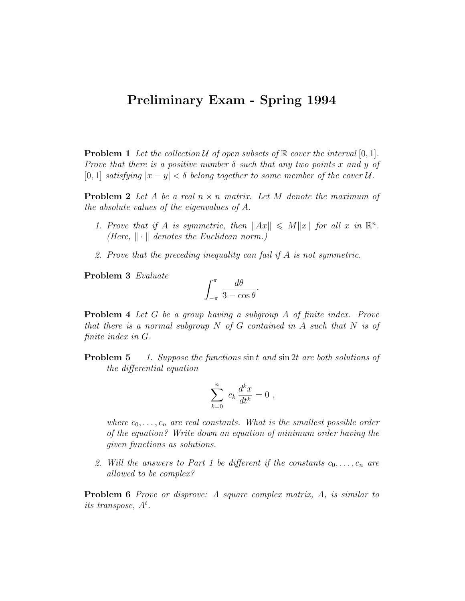## Preliminary Exam - Spring 1994

**Problem 1** Let the collection  $U$  of open subsets of  $\mathbb R$  cover the interval  $[0, 1]$ . Prove that there is a positive number  $\delta$  such that any two points x and y of [0, 1] satisfying  $|x-y| < \delta$  belong together to some member of the cover U.

**Problem 2** Let A be a real  $n \times n$  matrix. Let M denote the maximum of the absolute values of the eigenvalues of A.

- 1. Prove that if A is symmetric, then  $||Ax|| \le M||x||$  for all x in  $\mathbb{R}^n$ . (Here,  $\|\cdot\|$  denotes the Euclidean norm.)
- 2. Prove that the preceding inequality can fail if A is not symmetric.

Problem 3 Evaluate

$$
\int_{-\pi}^{\pi} \frac{d\theta}{3 - \cos \theta}.
$$

Problem 4 Let G be a group having a subgroup A of finite index. Prove that there is a normal subgroup  $N$  of  $G$  contained in  $A$  such that  $N$  is of finite index in G.

**Problem 5** 1. Suppose the functions  $\sin t$  and  $\sin 2t$  are both solutions of the differential equation

$$
\sum_{k=0}^n c_k \frac{d^k x}{dt^k} = 0 ,
$$

where  $c_0, \ldots, c_n$  are real constants. What is the smallest possible order of the equation? Write down an equation of minimum order having the given functions as solutions.

2. Will the answers to Part 1 be different if the constants  $c_0, \ldots, c_n$  are allowed to be complex?

**Problem 6** Prove or disprove: A square complex matrix, A, is similar to its transpose,  $A^t$ .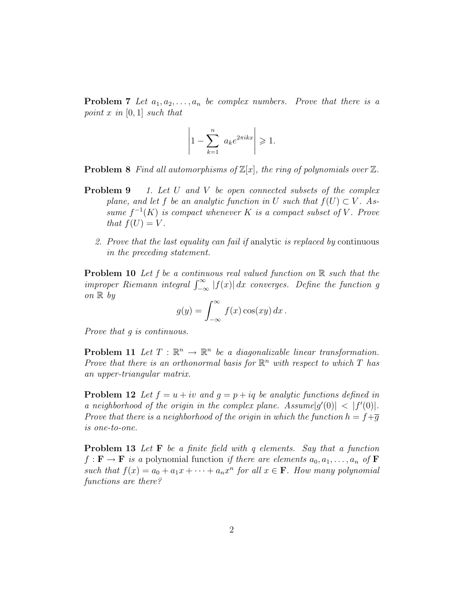**Problem 7** Let  $a_1, a_2, \ldots, a_n$  be complex numbers. Prove that there is a point x in  $[0, 1]$  such that

$$
\left|1 - \sum_{k=1}^{n} a_k e^{2\pi i k x} \right| \geq 1.
$$

**Problem 8** Find all automorphisms of  $\mathbb{Z}[x]$ , the ring of polynomials over  $\mathbb{Z}$ .

- **Problem 9** 1. Let U and V be open connected subsets of the complex plane, and let f be an analytic function in U such that  $f(U) \subset V$ . Assume  $f^{-1}(K)$  is compact whenever K is a compact subset of V. Prove that  $f(U) = V$ .
	- 2. Prove that the last equality can fail if analytic is replaced by continuous in the preceding statement.

**Problem 10** Let f be a continuous real valued function on  $\mathbb{R}$  such that the improper Riemann integral  $\int_{-\infty}^{\infty} |f(x)| dx$  converges. Define the function g on  $\mathbb{R}$  by

$$
g(y) = \int_{-\infty}^{\infty} f(x) \cos(xy) dx.
$$

Prove that g is continuous.

**Problem 11** Let  $T : \mathbb{R}^n \to \mathbb{R}^n$  be a diagonalizable linear transformation. Prove that there is an orthonormal basis for  $\mathbb{R}^n$  with respect to which T has an upper-triangular matrix.

**Problem 12** Let  $f = u + iv$  and  $g = p + iq$  be analytic functions defined in a neighborhood of the origin in the complex plane. Assume  $|g'(0)| < |f'(0)|$ . Prove that there is a neighborhood of the origin in which the function  $h = f + \overline{g}$ is one-to-one.

Problem 13 Let F be a finite field with q elements. Say that a function  $f : \mathbf{F} \to \mathbf{F}$  is a polynomial function if there are elements  $a_0, a_1, \ldots, a_n$  of  $\mathbf{F}$ such that  $f(x) = a_0 + a_1x + \cdots + a_nx^n$  for all  $x \in \mathbf{F}$ . How many polynomial functions are there?